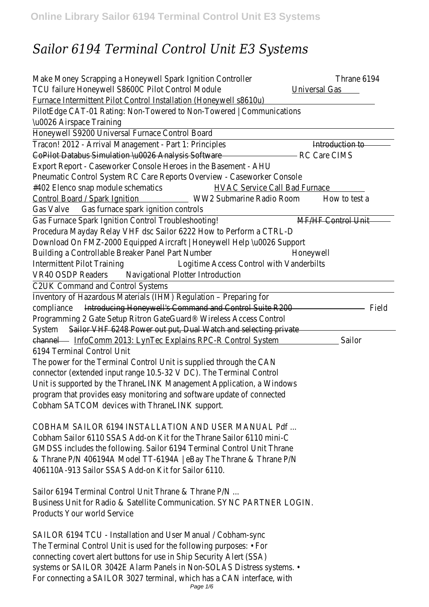# *Sailor 6194 Terminal Control Unit E3 Systems*

Make Money Scrapping a Honeywell Spark Ignition Controller 6194 TCU failure Honeywell S8600C Pilot Control Modulversal Gas Furnace Intermittent Pilot Control Installation (Honeywell s8610u) PilotEdge CAT-01 Rating: Non-Towered to Non-Towered | Communication \u0026 Airspace Training

Honeywell S9200 Universal Furnace Control Board

Tracon! 2012 - Arrival Management - Part 1: Principle troduction to CoPilot Databus Simulation \u0026 Analysis Software CIMS Export Report - Caseworker Console Heroes in the Basement - AHU Pneumatic Control System RC Care Reports Overview - Caseworker Cons #402 Elenco snap module schematticac Service Call Bad Furnace Control Board / Spark IgnitionWW2 Submarine Radio Room to test a Gas Valve Gas furnace spark ignition controls

Gas Furnace Spark Ignition Control Troubleshooting HF Control Unit Procedura Mayday Relay VHF dsc Sailor 6222 How to Perform a CTRL-D Download On FMZ-2000 Equipped Aircraft | Honeywell Help \u0026 Sup Building a Controllable Breaker Panel Part Numberoneywell Intermittent Pilot Training Logitime Access Control with Vanderbilts VR40 OSDP Readeravigational Plotter Introduction

C2UK Command and Control Systems

Inventory of Hazardous Materials (IHM) Regulation – Preparing for compliance **Introducing Honeywell's Command and Control Suite R200** Programming 2 Gate Setup Ritron GateGuard® Wireless Access Control System Sailor VHF 6248 Power out put, Dual Watch and selecting private channelInfoComm 2013: LynTec Explains RPC-R Control S§ailom 6194 Terminal Control Unit

The power for the Terminal Control Unit is supplied through the CAN connector (extended input range 10.5-32 V DC). The Terminal Control Unit is supported by the ThraneLINK Management Application, a Windows program that provides easy monitoring and software update of connecte Cobham SATCOM devices with ThraneLINK support.

COBHAM SAILOR 6194 INSTALLATION AND USER MANUAL Pdf ... Cobham Sailor 6110 SSAS Add-on Kit for the Thrane Sailor 6110 mini-C GMDSS includes the following. Sailor 6194 Terminal Control Unit Thrane & Thrane P/N 406194A Model TT-6194A | eBay The Thrane & Thrane P/N 406110A-913 Sailor SSAS Add-on Kit for Sailor 6110.

Sailor 6194 Terminal Control Unit Thrane & Thrane P/N ... Business Unit for Radio & Satellite Communication. SYNC PARTNER LOGIN. Products Your world Service

SAILOR 6194 TCU - Installation and User Manual / Cobham-sync The Terminal Control Unit is used for the following purposes: • For connecting covert alert buttons for use in Ship Security Alert (SSA) systems or SAILOR 3042E Alarm Panels in Non-SOLAS Distress systems. • For connecting a SAILOR 3027 terminal, which has a CAN interface, with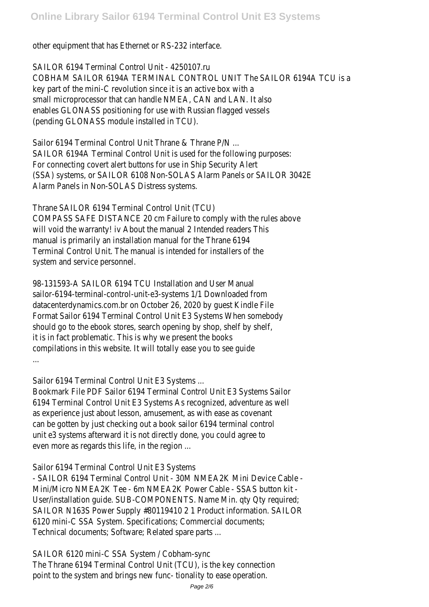other equipment that has Ethernet or RS-232 interface.

SAILOR 6194 Terminal Control Unit - 4250107.ru COBHAM SAILOR 6194A TERMINAL CONTROL UNIT The SAILOR 6194A TCU key part of the mini-C revolution since it is an active box with a small microprocessor that can handle NMEA, CAN and LAN. It also enables GLONASS positioning for use with Russian flagged vessels (pending GLONASS module installed in TCU).

Sailor 6194 Terminal Control Unit Thrane & Thrane P/N ... SAILOR 6194A Terminal Control Unit is used for the following purposes: For connecting covert alert buttons for use in Ship Security Alert (SSA) systems, or SAILOR 6108 Non-SOLAS Alarm Panels or SAILOR 3042 Alarm Panels in Non-SOLAS Distress systems.

Thrane SAILOR 6194 Terminal Control Unit (TCU) COMPASS SAFE DISTANCE 20 cm Failure to comply with the rules above will void the warranty! iv About the manual 2 Intended readers This manual is primarily an installation manual for the Thrane 6194 Terminal Control Unit. The manual is intended for installers of the system and service personnel.

98-131593-A SAILOR 6194 TCU Installation and User Manual sailor-6194-terminal-control-unit-e3-systems 1/1 Downloaded from datacenterdynamics.com.br on October 26, 2020 by guest Kindle File Format Sailor 6194 Terminal Control Unit E3 Systems When somebody should go to the ebook stores, search opening by shop, shelf by shelf, it is in fact problematic. This is why we present the books compilations in this website. It will totally ease you to see guide ...

Sailor 6194 Terminal Control Unit E3 Systems ...

Bookmark File PDF Sailor 6194 Terminal Control Unit E3 Systems Sailor 6194 Terminal Control Unit E3 Systems As recognized, adventure as well as experience just about lesson, amusement, as with ease as covenant can be gotten by just checking out a book sailor 6194 terminal control unit e3 systems afterward it is not directly done, you could agree to even more as regards this life, in the region ...

# Sailor 6194 Terminal Control Unit E3 Systems

- SAILOR 6194 Terminal Control Unit - 30M NMEA2K Mini Device Cable - Mini/Micro NMEA2K Tee - 6m NMEA2K Power Cable - SSAS button kit - User/installation guide. SUB-COMPONENTS. Name Min. qty Qty required; SAILOR N163S Power Supply #80119410 2 1 Product information. SAILO 6120 mini-C SSA System. Specifications; Commercial documents; Technical documents; Software; Related spare parts ...

# SAILOR 6120 mini-C SSA System / Cobham-sync

The Thrane 6194 Terminal Control Unit (TCU), is the key connection point to the system and brings new func- tionality to ease operation.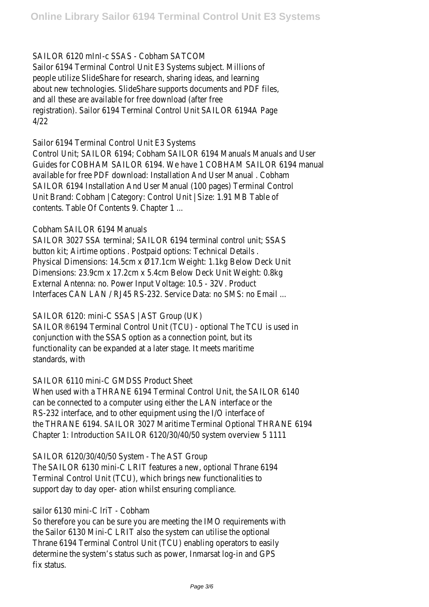# SAILOR 6120 mInI-c SSAS - Cobham SATCOM

Sailor 6194 Terminal Control Unit E3 Systems subject. Millions of people utilize SlideShare for research, sharing ideas, and learning about new technologies. SlideShare supports documents and PDF files, and all these are available for free download (after free registration). Sailor 6194 Terminal Control Unit SAILOR 6194A Page 4/22

# Sailor 6194 Terminal Control Unit E3 Systems

Control Unit; SAILOR 6194; Cobham SAILOR 6194 Manuals Manuals and U Guides for COBHAM SAILOR 6194. We have 1 COBHAM SAILOR 6194 man available for free PDF download: Installation And User Manual . Cobham SAILOR 6194 Installation And User Manual (100 pages) Terminal Control Unit Brand: Cobham | Category: Control Unit | Size: 1.91 MB Table of contents. Table Of Contents 9. Chapter 1 ...

# Cobham SAILOR 6194 Manuals

SAILOR 3027 SSA terminal; SAILOR 6194 terminal control unit; SSAS button kit; Airtime options . Postpaid options: Technical Details . Physical Dimensions: 14.5cm x Ø17.1cm Weight: 1.1kg Below Deck Unit Dimensions: 23.9cm x 17.2cm x 5.4cm Below Deck Unit Weight: 0.8kg External Antenna: no. Power Input Voltage: 10.5 - 32V. Product Interfaces CAN LAN / RJ45 RS-232. Service Data: no SMS: no Email ...

# SAILOR 6120: mini-C SSAS | AST Group (UK)

SAILOR®6194 Terminal Control Unit (TCU) - optional The TCU is used in conjunction with the SSAS option as a connection point, but its functionality can be expanded at a later stage. It meets maritime standards, with

# SAILOR 6110 mini-C GMDSS Product Sheet

When used with a THRANE 6194 Terminal Control Unit, the SAILOR 6140 can be connected to a computer using either the LAN interface or the RS-232 interface, and to other equipment using the I/O interface of the THRANE 6194. SAILOR 3027 Maritime Terminal Optional THRANE 619 Chapter 1: Introduction SAILOR 6120/30/40/50 system overview 5 111

SAILOR 6120/30/40/50 System - The AST Group

The SAILOR 6130 mini-C LRIT features a new, optional Thrane 6194 Terminal Control Unit (TCU), which brings new functionalities to support day to day oper- ation whilst ensuring compliance.

# sailor 6130 mini-C IriT - Cobham

So therefore you can be sure you are meeting the IMO requirements with the Sailor 6130 Mini-C LRIT also the system can utilise the optional Thrane 6194 Terminal Control Unit (TCU) enabling operators to easily determine the system's status such as power, Inmarsat log-in and GPS fix status.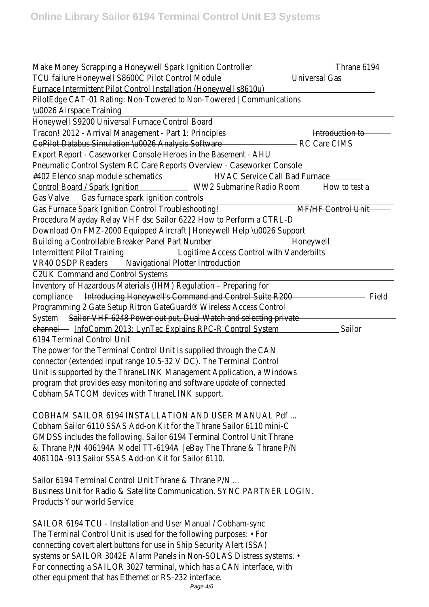Make Money Scrapping a Honeywell Spark Ignition Controller 6194 TCU failure Honeywell S8600C Pilot Control Modulversal Gas Furnace Intermittent Pilot Control Installation (Honeywell s8610u) PilotEdge CAT-01 Rating: Non-Towered to Non-Towered | Communication \u0026 Airspace Training

Honeywell S9200 Universal Furnace Control Board

Tracon! 2012 - Arrival Management - Part 1: Principle troduction to CoPilot Databus Simulation \u0026 Analysis Software CIMS Export Report - Caseworker Console Heroes in the Basement - AHU Pneumatic Control System RC Care Reports Overview - Caseworker Cons #402 Elenco snap module schemative Service Call Bad Furnace Control Board / Spark IgnitionWW2 Submarine Radio Room to test a Gas Valve Gas furnace spark ignition controls

Gas Furnace Spark Ignition Control Troubleshootin HF Control Unit Procedura Mayday Relay VHF dsc Sailor 6222 How to Perform a CTRL-D Download On FMZ-2000 Equipped Aircraft | Honeywell Help \u0026 Sup Building a Controllable Breaker Panel Part Numberoneywell Intermittent Pilot Training Logitime Access Control with Vanderbilts VR40 OSDP Readers vigational Plotter Introduction

C2UK Command and Control Systems

Inventory of Hazardous Materials (IHM) Regulation – Preparing for complianchet roducing Honeywell's Command and Control Suite R200 Programming 2 Gate Setup Ritron GateGuard® Wireless Access Control SystemSailor VHF 6248 Power out put, Dual Watch and selecting private channel InfoComm 2013: LynTec Explains RPC-R Control Sysitem 6194 Terminal Control Unit

The power for the Terminal Control Unit is supplied through the CAN connector (extended input range 10.5-32 V DC). The Terminal Control Unit is supported by the ThraneLINK Management Application, a Windows program that provides easy monitoring and software update of connected Cobham SATCOM devices with ThraneLINK support.

COBHAM SAILOR 6194 INSTALLATION AND USER MANUAL Pdf ... Cobham Sailor 6110 SSAS Add-on Kit for the Thrane Sailor 6110 mini-C GMDSS includes the following. Sailor 6194 Terminal Control Unit Thrane & Thrane P/N 406194A Model TT-6194A | eBay The Thrane & Thrane P/N 406110A-913 Sailor SSAS Add-on Kit for Sailor 6110.

Sailor 6194 Terminal Control Unit Thrane & Thrane P/N ... Business Unit for Radio & Satellite Communication. SYNC PARTNER LOGIN. Products Your world Service

SAILOR 6194 TCU - Installation and User Manual / Cobham-sync The Terminal Control Unit is used for the following purposes: • For connecting covert alert buttons for use in Ship Security Alert (SSA) systems or SAILOR 3042E Alarm Panels in Non-SOLAS Distress systems. • For connecting a SAILOR 3027 terminal, which has a CAN interface, with other equipment that has Ethernet or RS-232 interface.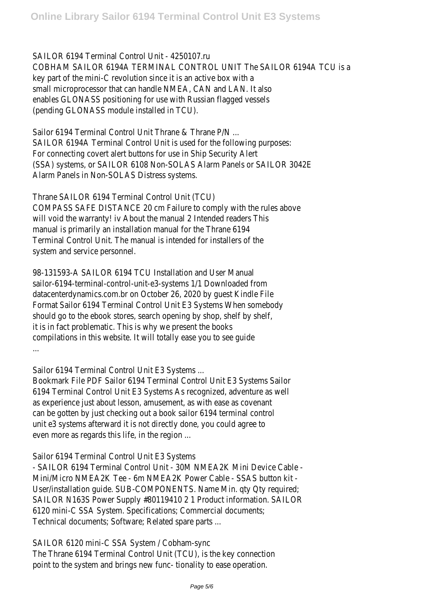SAILOR 6194 Terminal Control Unit - 4250107.ru COBHAM SAILOR 6194A TERMINAL CONTROL UNIT The SAILOR 6194A TCU key part of the mini-C revolution since it is an active box with a small microprocessor that can handle NMEA, CAN and LAN. It also enables GLONASS positioning for use with Russian flagged vessels (pending GLONASS module installed in TCU).

Sailor 6194 Terminal Control Unit Thrane & Thrane P/N ... SAILOR 6194A Terminal Control Unit is used for the following purposes: For connecting covert alert buttons for use in Ship Security Alert (SSA) systems, or SAILOR 6108 Non-SOLAS Alarm Panels or SAILOR 3042 Alarm Panels in Non-SOLAS Distress systems.

Thrane SAILOR 6194 Terminal Control Unit (TCU) COMPASS SAFE DISTANCE 20 cm Failure to comply with the rules above will void the warranty! iv About the manual 2 Intended readers This manual is primarily an installation manual for the Thrane 6194 Terminal Control Unit. The manual is intended for installers of the system and service personnel.

98-131593-A SAILOR 6194 TCU Installation and User Manual sailor-6194-terminal-control-unit-e3-systems 1/1 Downloaded from datacenterdynamics.com.br on October 26, 2020 by guest Kindle File Format Sailor 6194 Terminal Control Unit E3 Systems When somebody should go to the ebook stores, search opening by shop, shelf by shelf, it is in fact problematic. This is why we present the books compilations in this website. It will totally ease you to see guide ...

Sailor 6194 Terminal Control Unit E3 Systems ...

Bookmark File PDF Sailor 6194 Terminal Control Unit E3 Systems Sailor 6194 Terminal Control Unit E3 Systems As recognized, adventure as well as experience just about lesson, amusement, as with ease as covenant can be gotten by just checking out a book sailor 6194 terminal control unit e3 systems afterward it is not directly done, you could agree to even more as regards this life, in the region ...

Sailor 6194 Terminal Control Unit E3 Systems

- SAILOR 6194 Terminal Control Unit - 30M NMEA2K Mini Device Cable - Mini/Micro NMEA2K Tee - 6m NMEA2K Power Cable - SSAS button kit - User/installation guide. SUB-COMPONENTS. Name Min. qty Qty required; SAILOR N163S Power Supply #80119410 2 1 Product information. SAILO 6120 mini-C SSA System. Specifications; Commercial documents; Technical documents; Software; Related spare parts ...

SAILOR 6120 mini-C SSA System / Cobham-sync

The Thrane 6194 Terminal Control Unit (TCU), is the key connection point to the system and brings new func- tionality to ease operation.